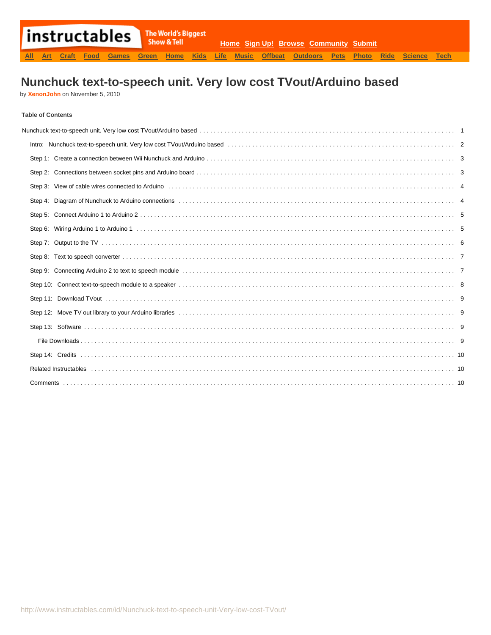# **Nunchuck text-to-speech unit. Very low cost TVout/Arduino based**

by **[XenonJohn](http://www.instructables.com/member/XenonJohn/?utm_source=pdf&utm_campaign=title)** on November 5, 2010

#### **Table of Contents**

| Step 3: View of cable wires connected to Arduino enterror enterred in the content of the state of the Arduino enterred in the connected to Arduino enterred in the connected of the state of the state of the state of the sta |  |
|--------------------------------------------------------------------------------------------------------------------------------------------------------------------------------------------------------------------------------|--|
|                                                                                                                                                                                                                                |  |
|                                                                                                                                                                                                                                |  |
|                                                                                                                                                                                                                                |  |
|                                                                                                                                                                                                                                |  |
|                                                                                                                                                                                                                                |  |
|                                                                                                                                                                                                                                |  |
|                                                                                                                                                                                                                                |  |
|                                                                                                                                                                                                                                |  |
| Step 12: Move TV out library to your Arduino libraries (1) the state of the content of the content of the state of the state of the state of the state of the state of the state of the state of the state of the state of the |  |
|                                                                                                                                                                                                                                |  |
|                                                                                                                                                                                                                                |  |
|                                                                                                                                                                                                                                |  |
|                                                                                                                                                                                                                                |  |
|                                                                                                                                                                                                                                |  |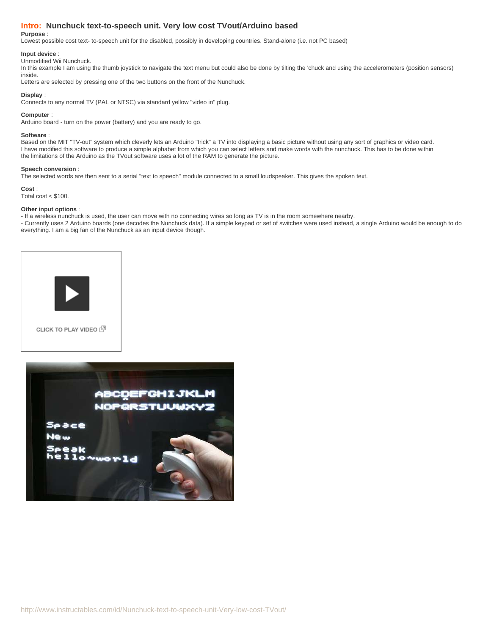#### <span id="page-1-0"></span>**Intro: Nunchuck text-to-speech unit. Very low cost TVout/Arduino based**

#### **Purpose** :

Lowest possible cost text- to-speech unit for the disabled, possibly in developing countries. Stand-alone (i.e. not PC based)

#### **Input device** :

#### Unmodified Wii Nunchuck.

In this example I am using the thumb joystick to navigate the text menu but could also be done by tilting the 'chuck and using the accelerometers (position sensors) inside.

Letters are selected by pressing one of the two buttons on the front of the Nunchuck.

#### **Display** :

Connects to any normal TV (PAL or NTSC) via standard yellow "video in" plug.

#### **Computer** :

Arduino board - turn on the power (battery) and you are ready to go.

#### **Software** :

Based on the MIT "TV-out" system which cleverly lets an Arduino "trick" a TV into displaying a basic picture without using any sort of graphics or video card. I have modified this software to produce a simple alphabet from which you can select letters and make words with the nunchuck. This has to be done within the limitations of the Arduino as the TVout software uses a lot of the RAM to generate the picture.

#### **Speech conversion** :

The selected words are then sent to a serial "text to speech" module connected to a small loudspeaker. This gives the spoken text.

**Cost** :

Total cost  $<$  \$100.

#### **Other input options** :

- If a wireless nunchuck is used, the user can move with no connecting wires so long as TV is in the room somewhere nearby.

- Currently uses 2 Arduino boards (one decodes the Nunchuck data). If a simple keypad or set of switches were used instead, a single Arduino would be enough to do everything. I am a big fan of the Nunchuck as an input device though.



CLICK TO PLAY VIDEO (

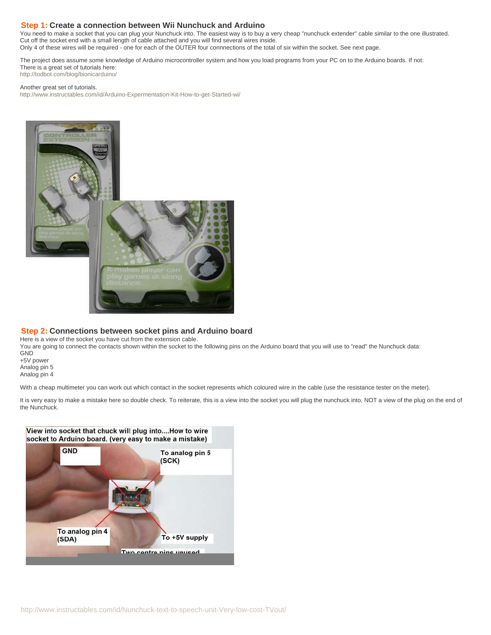#### <span id="page-2-0"></span>**Step 1: Create a connection between Wii Nunchuck and Arduino**

You need to make a socket that you can plug your Nunchuck into. The easiest way is to buy a very cheap "nunchuck extender" cable similar to the one illustrated. Cut off the socket end with a small length of cable attached and you will find several wires inside.

Only 4 of these wires will be required - one for each of the OUTER four connnections of the total of six within the socket. See next page.

The project does assume some knowledge of Arduino microcontroller system and how you load programs from your PC on to the Arduino boards. If not: There is a great set of tutorials here: <http://todbot.com/blog/bionicarduino/>

Another great set of tutorials.

<http://www.instructables.com/id/Arduino-Expermentation-Kit-How-to-get-Started-wi/>



#### **Step 2: Connections between socket pins and Arduino board**

Here is a view of the socket you have cut from the extension cable.

You are going to connect the contacts shown within the socket to the following pins on the Arduino board that you will use to "read" the Nunchuck data: GND +5V power

Analog pin 5 Analog pin 4

With a cheap multimeter you can work out which contact in the socket represents which coloured wire in the cable (use the resistance tester on the meter).

It is very easy to make a mistake here so double check. To reiterate, this is a view into the socket you will plug the nunchuck into, NOT a view of the plug on the end of the Nunchuck.

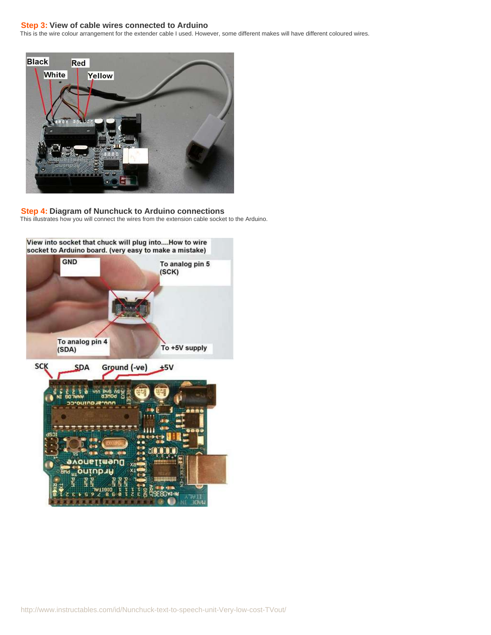#### <span id="page-3-0"></span>**Step 3: View of cable wires connected to Arduino**

This is the wire colour arrangement for the extender cable I used. However, some different makes will have different coloured wires.



**Step 4: Diagram of Nunchuck to Arduino connections** This illustrates how you will connect the wires from the extension cable socket to the Arduino.

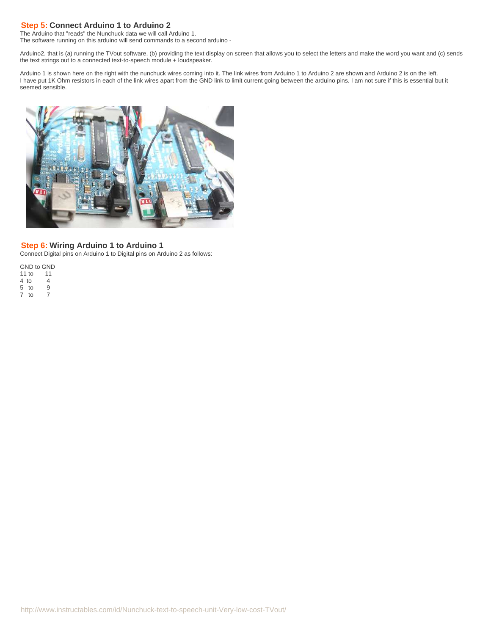### <span id="page-4-0"></span>**Step 5: Connect Arduino 1 to Arduino 2**

The Arduino that "reads" the Nunchuck data we will call Arduino 1. The software running on this arduino will send commands to a second arduino -

Arduino2, that is (a) running the TVout software, (b) providing the text display on screen that allows you to select the letters and make the word you want and (c) sends the text strings out to a connected text-to-speech module + loudspeaker.

Arduino 1 is shown here on the right with the nunchuck wires coming into it. The link wires from Arduino 1 to Arduino 2 are shown and Arduino 2 is on the left. I have put 1K Ohm resistors in each of the link wires apart from the GND link to limit current going between the arduino pins. I am not sure if this is essential but it seemed sensible.



#### **Step 6: Wiring Arduino 1 to Arduino 1**

Connect Digital pins on Arduino 1 to Digital pins on Arduino 2 as follows:

GND to GND 11 to 11 4 to 4<br>5 to 9 5 to 9 7 to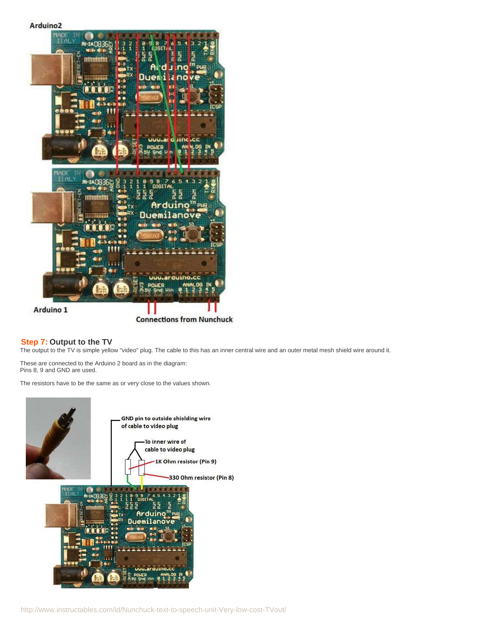# NAD **PH-2AGB** n i bretski fe nc Due üυι i.ai iine TTAL. **RH-2A0836 HHHHHHH** <sup>i n</sup> pul Arduino Duem uuu.arduino Arduino 1 **Connections from Nunchuck**

#### **Step 7: Output to the TV**

<span id="page-5-0"></span>Arduino<sub>2</sub>

The output to the TV is simple yellow "video" plug. The cable to this has an inner central wire and an outer metal mesh shield wire around it.

These are connected to the Arduino 2 board as in the diagram: Pins 8, 9 and GND are used.

The resistors have to be the same as or very close to the values shown.

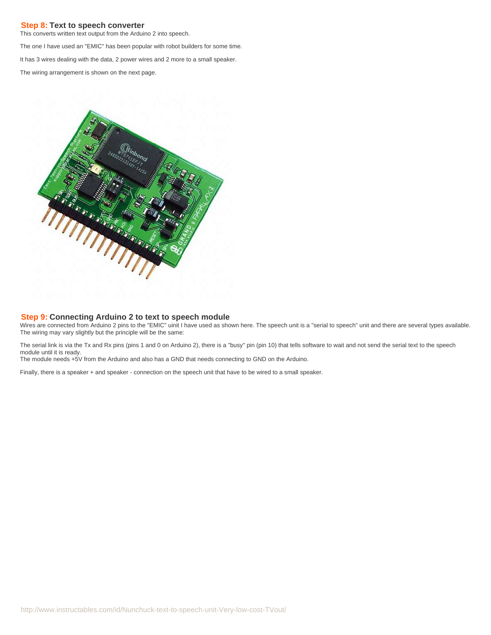#### <span id="page-6-0"></span>**Step 8: Text to speech converter**

This converts written text output from the Arduino 2 into speech.

The one I have used an "EMIC" has been popular with robot builders for some time.

It has 3 wires dealing with the data, 2 power wires and 2 more to a small speaker.

The wiring arrangement is shown on the next page.



#### **Step 9: Connecting Arduino 2 to text to speech module**

Wires are connected from Arduino 2 pins to the "EMIC" uinit I have used as shown here. The speech unit is a "serial to speech" unit and there are several types available. The wiring may vary slightly but the principle will be the same:

The serial link is via the Tx and Rx pins (pins 1 and 0 on Arduino 2), there is a "busy" pin (pin 10) that tells software to wait and not send the serial text to the speech module until it is ready.

The module needs +5V from the Arduino and also has a GND that needs connecting to GND on the Arduino.

Finally, there is a speaker + and speaker - connection on the speech unit that have to be wired to a small speaker.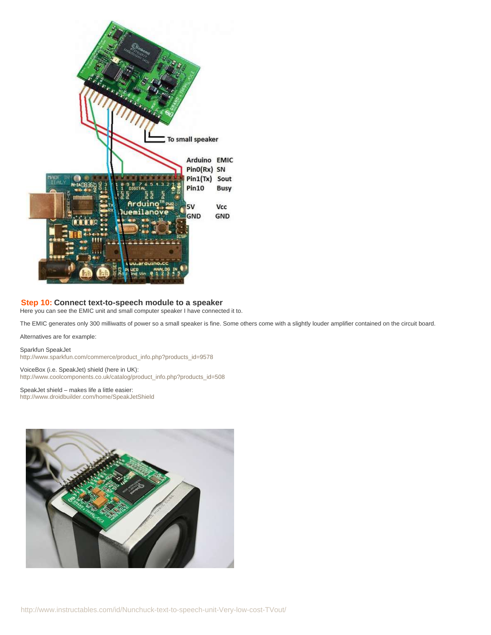<span id="page-7-0"></span>

#### **Step 10: Connect text-to-speech module to a speaker**

Here you can see the EMIC unit and small computer speaker I have connected it to.

The EMIC generates only 300 milliwatts of power so a small speaker is fine. Some others come with a slightly louder amplifier contained on the circuit board.

Alternatives are for example:

Sparkfun SpeakJet [http://www.sparkfun.com/commerce/product\\_info.php?products\\_id=9578](http://www.sparkfun.com/commerce/product_info.php?products_id=9578)

VoiceBox (i.e. SpeakJet) shield (here in UK): [http://www.coolcomponents.co.uk/catalog/product\\_info.php?products\\_id=508](http://www.coolcomponents.co.uk/catalog/product_info.php?products_id=508)

SpeakJet shield – makes life a little easier: <http://www.droidbuilder.com/home/SpeakJetShield>

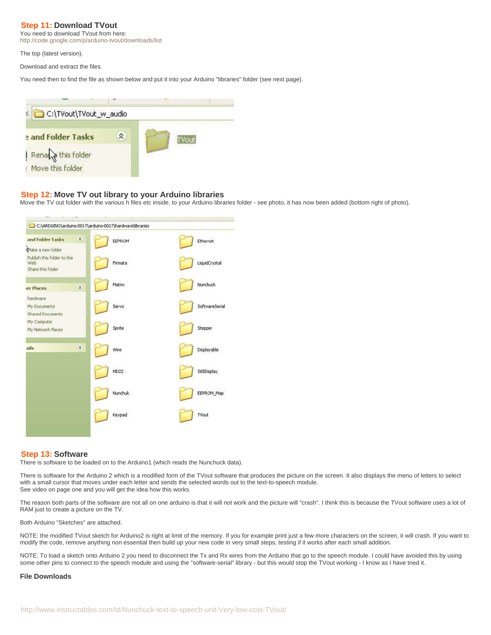#### <span id="page-8-0"></span>**Step 11: Download TVout**

You need to download TVout from here:

<http://code.google.com/p/arduino-tvout/downloads/list>

The top (latest version).

Download and extract the files.

You need then to find the file as shown below and put it into your Arduino "libraries" folder (see next page).



#### **Step 12: Move TV out library to your Arduino libraries**

Move the TV out folder with the various h files etc inside, to your Arduino libraries folder - see photo, it has now been added (bottom right of photo).



#### **Step 13: Software**

There is software to be loaded on to the Arduino1 (which reads the Nunchuck data).

There is software for the Arduino 2 which is a modified form of the TVout software that produces the picture on the screen. It also displays the menu of letters to select with a small cursor that moves under each letter and sends the selected words out to the text-to-speech module. See video on page one and you will get the idea how this works.

The reason both parts of the software are not all on one arduino is that it will not work and the picture will "crash". I think this is because the TVout software uses a lot of RAM just to create a picture on the TV.

Both Arduino "Sketches" are attached.

NOTE: the modified TVout sketch for Arduino2 is right at limit of the memory. If you for example print just a few more characters on the screen, it will crash. If you want to modify the code, remove anything non essential then build up your new code in very small steps, testing if it works after each small addition.

NOTE: To load a sketch onto Arduino 2 you need to disconnect the Tx and Rx wires from the Arduino that go to the speech module. I could have avoided this by using some other pins to connect to the speech module and using the "software-serial" library - but this would stop the TVout working - I know as I have tried it.

#### **File Downloads**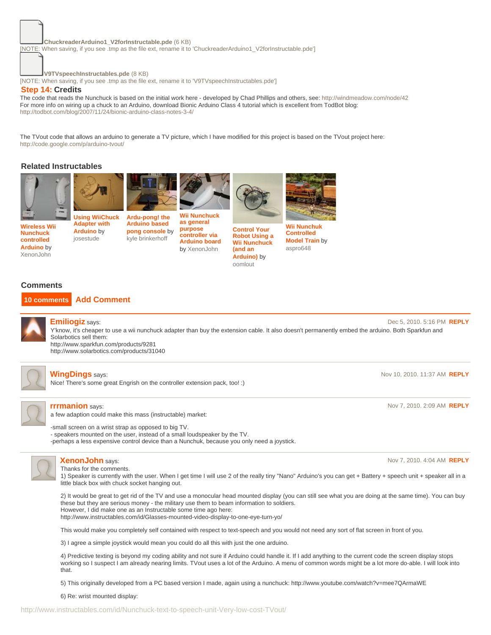#### **[ChuckreaderArduino1\\_V2forInstructable.pde](http://www.instructables.com/files/orig/FZB/MUN6/GG4A6JP2/FZBMUN6GG4A6JP2.tmp?utm_source=pdf&utm_campaign=files)** [\(6 KB\)](http://www.instructables.com/files/orig/FZB/MUN6/GG4A6JP2/FZBMUN6GG4A6JP2.tmp?utm_source=pdf&utm_campaign=files)

<span id="page-9-0"></span>[\[NOTE: When saving, if you see .tmp as the file ext, rename it to 'ChuckreaderArduino1\\_V2forInstructable.pde'\]](http://www.instructables.com/files/orig/FZB/MUN6/GG4A6JP2/FZBMUN6GG4A6JP2.tmp?utm_source=pdf&utm_campaign=files)

**[V9TVspeechInstructables.pde](http://www.instructables.com/files/orig/FNL/85NE/GG4A6JP5/FNL85NEGG4A6JP5.tmp?utm_source=pdf&utm_campaign=files)** [\(8 KB\)](http://www.instructables.com/files/orig/FNL/85NE/GG4A6JP5/FNL85NEGG4A6JP5.tmp?utm_source=pdf&utm_campaign=files)

[\[NOTE: When saving, if you see .tmp as the file ext, rename it to 'V9TVspeechInstructables.pde'\]](http://www.instructables.com/files/orig/FNL/85NE/GG4A6JP5/FNL85NEGG4A6JP5.tmp?utm_source=pdf&utm_campaign=files)

#### **Step 14: Credits**

The code that reads the Nunchuck is based on the initial work here - developed by Chad Phillips and others, see: [http://windmeadow.com/node/42](http://code.google.com/p/arduino-tvout/) For more info on wiring up a chuck to an Arduino, download Bionic Arduino Class 4 tutorial which is excellent from TodBot blog: <http://todbot.com/blog/2007/11/24/bionic-arduino-class-notes-3-4/>

The TVout code that allows an arduino to generate a TV picture, which I have modified for this project is based on the TVout project here: <http://code.google.com/p/arduino-tvout/>

#### **Related Instructables**







**[Wireless Wii](http://www.instructables.com/id/Wireless-Wii-Nunchuck-control-of-Arduino-projects/?utm_source=pdf&utm_campaign=related) [Nunchuck](http://www.instructables.com/id/Wireless-Wii-Nunchuck-control-of-Arduino-projects/?utm_source=pdf&utm_campaign=related) [controlled](http://www.instructables.com/id/Wireless-Wii-Nunchuck-control-of-Arduino-projects/?utm_source=pdf&utm_campaign=related) [Arduino](http://www.instructables.com/id/Wireless-Wii-Nunchuck-control-of-Arduino-projects/?utm_source=pdf&utm_campaign=related)** by [XenonJohn](http://www.instructables.com/member/XenonJohn/?utm_source=pdf&utm_campaign=related)

**[Using WiiChuck](http://www.instructables.com/id/Using-WiiChuck-Adapter-with-Arduino/?utm_source=pdf&utm_campaign=related) [Adapter with](http://www.instructables.com/id/Using-WiiChuck-Adapter-with-Arduino/?utm_source=pdf&utm_campaign=related) [Arduino](http://www.instructables.com/id/Using-WiiChuck-Adapter-with-Arduino/?utm_source=pdf&utm_campaign=related)** by [josestude](http://www.instructables.com/member/josestude/?utm_source=pdf&utm_campaign=related)

**[Ardu-pong! the](http://www.instructables.com/id/Ardu-pong-the-Arduino-based-pong-console/?utm_source=pdf&utm_campaign=related) [Arduino based](http://www.instructables.com/id/Ardu-pong-the-Arduino-based-pong-console/?utm_source=pdf&utm_campaign=related) [pong console](http://www.instructables.com/id/Ardu-pong-the-Arduino-based-pong-console/?utm_source=pdf&utm_campaign=related)** by [kyle brinkerhoff](http://www.instructables.com/member/kyle brinkerhoff/?utm_source=pdf&utm_campaign=related) **[Wii Nunchuck](http://www.instructables.com/id/Wii-Nunchuck-as-general-purpose-controller-via-Ard/?utm_source=pdf&utm_campaign=related) [as general](http://www.instructables.com/id/Wii-Nunchuck-as-general-purpose-controller-via-Ard/?utm_source=pdf&utm_campaign=related) [purpose](http://www.instructables.com/id/Wii-Nunchuck-as-general-purpose-controller-via-Ard/?utm_source=pdf&utm_campaign=related) [controller via](http://www.instructables.com/id/Wii-Nunchuck-as-general-purpose-controller-via-Ard/?utm_source=pdf&utm_campaign=related) [Arduino board](http://www.instructables.com/id/Wii-Nunchuck-as-general-purpose-controller-via-Ard/?utm_source=pdf&utm_campaign=related)** by [XenonJohn](http://www.instructables.com/member/XenonJohn/?utm_source=pdf&utm_campaign=related)

**[Control Your](http://www.instructables.com/id/How-to-Control-Your-Robot-Using-a-Wii-Nunchuck-an/?utm_source=pdf&utm_campaign=related) [Robot Using a](http://www.instructables.com/id/How-to-Control-Your-Robot-Using-a-Wii-Nunchuck-an/?utm_source=pdf&utm_campaign=related) [Wii Nunchuck](http://www.instructables.com/id/How-to-Control-Your-Robot-Using-a-Wii-Nunchuck-an/?utm_source=pdf&utm_campaign=related) [\(and an](http://www.instructables.com/id/How-to-Control-Your-Robot-Using-a-Wii-Nunchuck-an/?utm_source=pdf&utm_campaign=related) [Arduino\)](http://www.instructables.com/id/How-to-Control-Your-Robot-Using-a-Wii-Nunchuck-an/?utm_source=pdf&utm_campaign=related)** by [oomlout](http://www.instructables.com/member/oomlout/?utm_source=pdf&utm_campaign=related)

**[Wii Nunchuk](http://www.instructables.com/id/Wii-Nunchuk-Controlled-Model-Train/?utm_source=pdf&utm_campaign=related) [Controlled](http://www.instructables.com/id/Wii-Nunchuk-Controlled-Model-Train/?utm_source=pdf&utm_campaign=related) [Model Train](http://www.instructables.com/id/Wii-Nunchuk-Controlled-Model-Train/?utm_source=pdf&utm_campaign=related)** by [aspro648](http://www.instructables.com/member/aspro648/?utm_source=pdf&utm_campaign=related)

#### **Comments**

#### **10 comments [Add Comment](http://www.instructables.com/id/Nunchuck-text-to-speech-unit-Very-low-cost-TVout/?utm_source=pdf&utm_campaign=comments#comments)**



**[Emiliogiz](http://www.instructables.com/member/Emiliogiz/?utm_source=pdf&utm_campaign=comments)** says: Dec 5, 2010. 5:16 PM **[REPLY](http://www.instructables.com/id/Nunchuck-text-to-speech-unit-Very-low-cost-TVout/?utm_source=pdf&utm_campaign=comments#DISCUSS)** Y'know, it's cheaper to use a wii nunchuck adapter than buy the extension cable. It also doesn't permanently embed the arduino. Both Sparkfun and Solarbotics sell them: http://www.sparkfun.com/products/9281

http://www.solarbotics.com/products/31040



#### **[WingDings](http://www.instructables.com/member/WingDings/?utm_source=pdf&utm_campaign=comments)** says: Nov 10, 2010. 11:37 AM **[REPLY](http://www.instructables.com/id/Nunchuck-text-to-speech-unit-Very-low-cost-TVout/?utm_source=pdf&utm_campaign=comments#DISCUSS)**

Nice! There's some great Engrish on the controller extension pack, too! :)



#### **[rrrmanion](http://www.instructables.com/member/rrrmanion/?utm_source=pdf&utm_campaign=comments)** says: Nov 7, 2010. 2:09 AM **[REPLY](http://www.instructables.com/id/Nunchuck-text-to-speech-unit-Very-low-cost-TVout/?utm_source=pdf&utm_campaign=comments#DISCUSS)**

a few adaption could make this mass (instructable) market:

-small screen on a wrist strap as opposed to big TV.

- speakers mounted on the user, instead of a small loudspeaker by the TV.

-perhaps a less expensive control device than a Nunchuk, because you only need a joystick.



## Thanks for the comments.

1) Speaker is currently with the user. When I get time I will use 2 of the really tiny "Nano" Arduino's you can get + Battery + speech unit + speaker all in a little black box with chuck socket hanging out.

2) It would be great to get rid of the TV and use a monocular head mounted display (you can still see what you are doing at the same time). You can buy these but they are serious money - the military use them to beam information to soldiers. However, I did make one as an Instructable some time ago here: http://www.instructables.com/id/Glasses-mounted-video-display-to-one-eye-turn-yo/

This would make you completely self contained with respect to text-speech and you would not need any sort of flat screen in front of you.

3) I agree a simple joystick would mean you could do all this with just the one arduino.

4) Predictive texting is beyond my coding ability and not sure if Arduino could handle it. If I add anything to the current code the screen display stops working so I suspect I am already nearing limits. TVout uses a lot of the Arduino. A menu of common words might be a lot more do-able. I will look into that.

5) This originally developed from a PC based version I made, again using a nunchuck: http://www.youtube.com/watch?v=mee7QArmaWE

6) Re: wrist mounted display:

**[XenonJohn](http://www.instructables.com/member/XenonJohn/?utm_source=pdf&utm_campaign=comments)** says: Nov 7, 2010. 4:04 AM **[REPLY](http://www.instructables.com/id/Nunchuck-text-to-speech-unit-Very-low-cost-TVout/?utm_source=pdf&utm_campaign=comments#DISCUSS)**